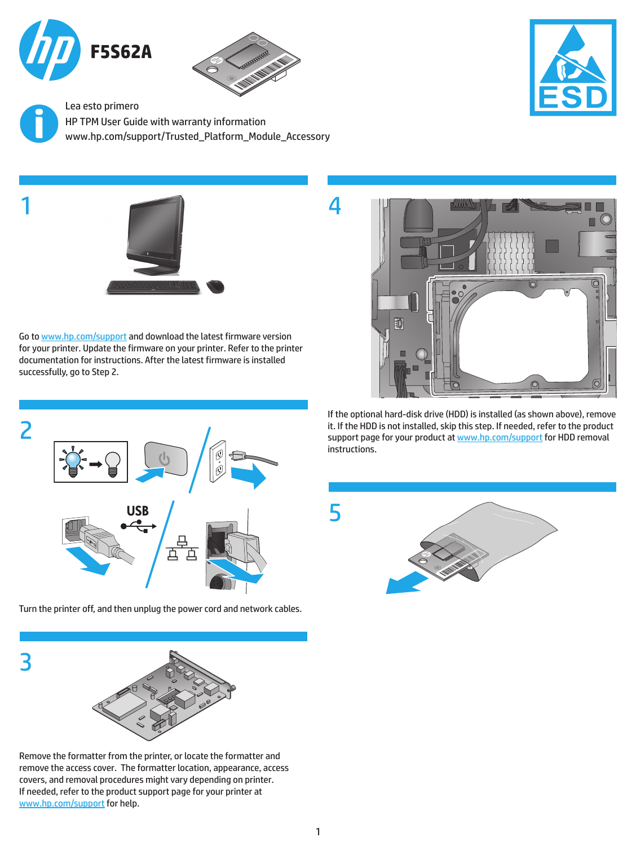

1



4

5

www.hp.com/support/Trusted\_Platform\_Module\_Accessory Lea esto primero HP TPM User Guide with warranty information



Go to [www.hp.com/support](http://www.hp.com/support) and download the latest firmware version for your printer. Update the firmware on your printer. Refer to the printer documentation for instructions. After the latest firmware is installed successfully, go to Step 2.



Turn the printer off, and then unplug the power cord and network cables.



Remove the formatter from the printer, or locate the formatter and remove the access cover. The formatter location, appearance, access covers, and removal procedures might vary depending on printer. If needed, refer to the product support page for your printer at [www.hp.com/support](http://www.hp.com/support) for help.



If the optional hard-disk drive (HDD) is installed (as shown above), remove it. If the HDD is not installed, skip this step. If needed, refer to the product support page for your product at [www.hp.com/support](http://www.hp.com/support) for HDD removal instructions.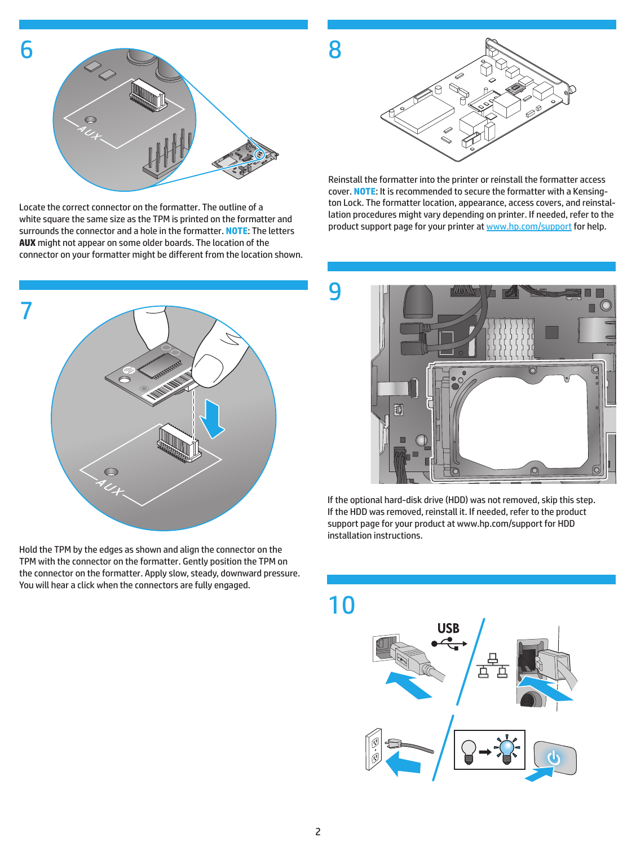

Locate the correct connector on the formatter. The outline of a white square the same size as the TPM is printed on the formatter and surrounds the connector and a hole in the formatter. **NOTE**: The letters **AUX** might not appear on some older boards. The location of the connector on your formatter might be different from the location shown.



Hold the TPM by the edges as shown and align the connector on the TPM with the connector on the formatter. Gently position the TPM on the connector on the formatter. Apply slow, steady, downward pressure. You will hear a click when the connectors are fully engaged.



Reinstall the formatter into the printer or reinstall the formatter access cover. **NOTE**: It is recommended to secure the formatter with a Kensington Lock. The formatter location, appearance, access covers, and reinstallation procedures might vary depending on printer. If needed, refer to the product support page for your printer at [www.hp.com/support](http://www.hp.com/support) for help.



If the optional hard-disk drive (HDD) was not removed, skip this step. If the HDD was removed, reinstall it. If needed, refer to the product support page for your product at www.hp.com/support for HDD installation instructions.

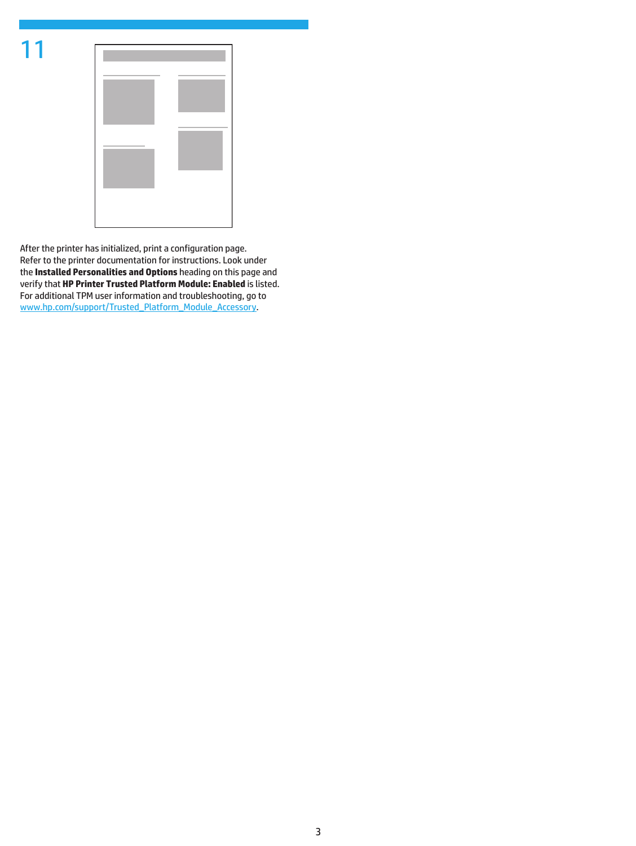

| the control of the control of |     |
|-------------------------------|-----|
|                               |     |
|                               | ___ |
|                               |     |
|                               |     |
|                               |     |
|                               |     |

After the printer has initialized, print a configuration page. Refer to the printer documentation for instructions. Look under the **Installed Personalities and Options** heading on this page and verify that **HP Printer Trusted Platform Module: Enabled** is listed. For additional TPM user information and troubleshooting, go to [www.hp.com/support/Trusted\\_Platform\\_Module\\_Accessory](http://www.hp.com/support/Trusted_Platform_Module_Accessory).